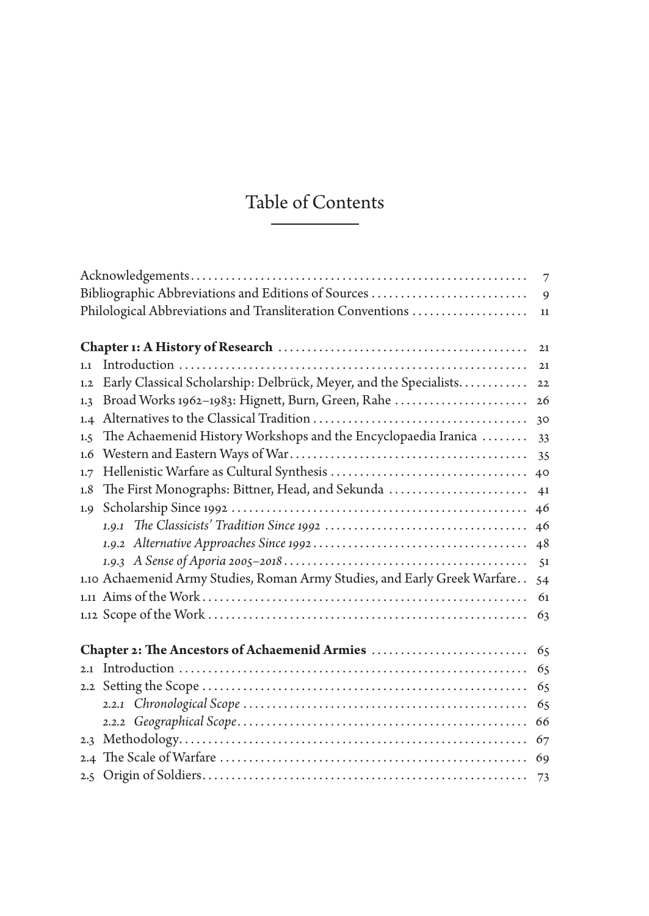## Table of Contents

|                                                                           | $\overline{7}$ |
|---------------------------------------------------------------------------|----------------|
| Bibliographic Abbreviations and Editions of Sources                       | 9              |
| Philological Abbreviations and Transliteration Conventions                | 11             |
|                                                                           |                |
|                                                                           | 21             |
| 1.1                                                                       | 21             |
| Early Classical Scholarship: Delbrück, Meyer, and the Specialists<br>1.2  | 22             |
| Broad Works 1962-1983: Hignett, Burn, Green, Rahe<br>1.3                  | $26\,$         |
| 1.4                                                                       | 30             |
| The Achaemenid History Workshops and the Encyclopaedia Iranica<br>1.5     | 33             |
| 1.6                                                                       | 35             |
| 1.7                                                                       |                |
| The First Monographs: Bittner, Head, and Sekunda<br>1.8                   | 41             |
| 1.9                                                                       | 46             |
|                                                                           | 46             |
|                                                                           |                |
|                                                                           |                |
| 1.10 Achaemenid Army Studies, Roman Army Studies, and Early Greek Warfare | 54             |
|                                                                           | 61             |
|                                                                           | 63             |
|                                                                           |                |
| Chapter 2: The Ancestors of Achaemenid Armies                             | 65             |
| 2.1                                                                       | 65             |
|                                                                           | 65             |
|                                                                           | 65             |
|                                                                           | 66             |
| 2.3                                                                       | 67             |
|                                                                           |                |
|                                                                           |                |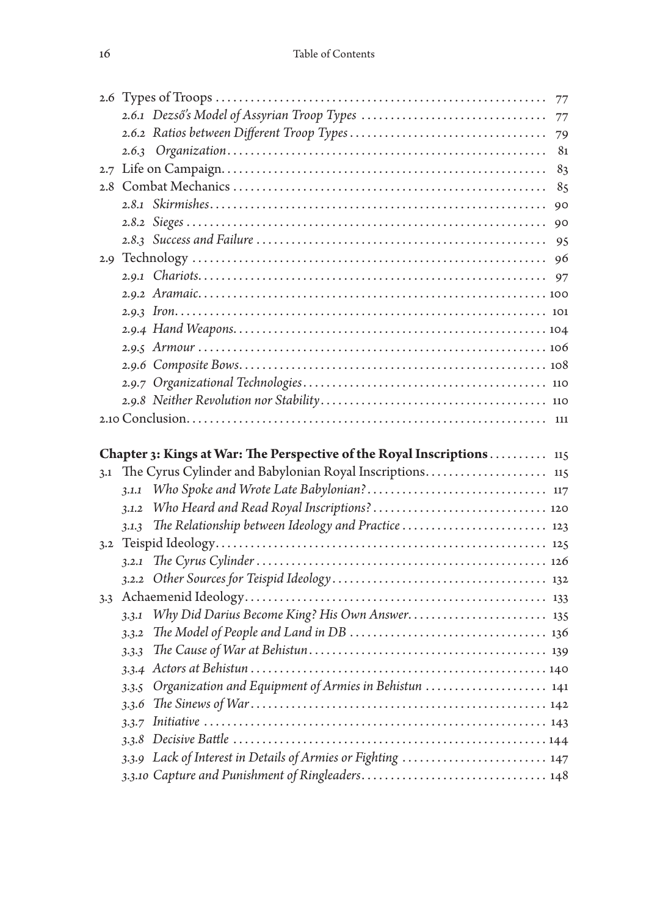|     |                                                                         | 77 |
|-----|-------------------------------------------------------------------------|----|
|     |                                                                         | 77 |
|     |                                                                         | 79 |
|     |                                                                         | 81 |
|     |                                                                         | 83 |
|     |                                                                         | 85 |
|     |                                                                         | 90 |
|     |                                                                         | 90 |
|     |                                                                         | 95 |
|     |                                                                         | 96 |
|     |                                                                         |    |
|     |                                                                         |    |
|     |                                                                         |    |
|     |                                                                         |    |
|     |                                                                         |    |
|     |                                                                         |    |
|     |                                                                         |    |
|     |                                                                         |    |
|     |                                                                         |    |
|     |                                                                         |    |
|     |                                                                         |    |
|     | Chapter 3: Kings at War: The Perspective of the Royal Inscriptions  115 |    |
| 3.1 |                                                                         |    |
|     | 3.1.1                                                                   |    |
|     | 3.1.2                                                                   |    |
|     | The Relationship between Ideology and Practice  123<br>3.1.3            |    |
| 3.2 |                                                                         |    |
|     | 3.2.1                                                                   |    |
|     |                                                                         |    |
|     |                                                                         |    |
|     | Why Did Darius Become King? His Own Answer 135<br>3.3.1                 |    |
|     | 3.3.2                                                                   |    |
|     | 3.3.3                                                                   |    |
|     |                                                                         |    |
|     | Organization and Equipment of Armies in Behistun  141<br>3.3.5          |    |
|     | 3.3.6                                                                   |    |
|     | 3.3.7                                                                   |    |
|     | 3.3.8                                                                   |    |
|     | 3.3.9 Lack of Interest in Details of Armies or Fighting  147            |    |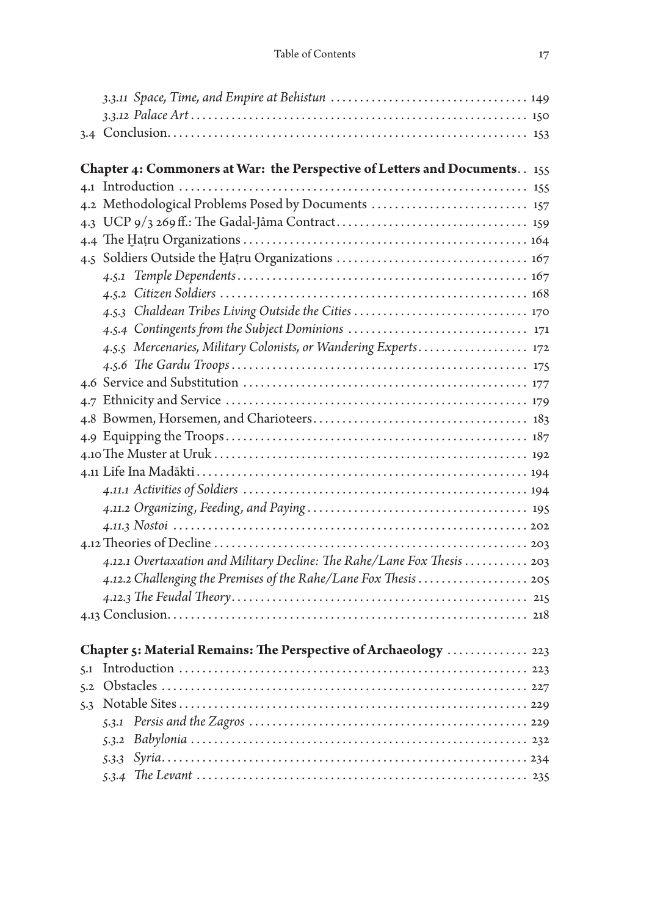|     | Chapter 4: Commoners at War: the Perspective of Letters and Documents. . 155 |  |
|-----|------------------------------------------------------------------------------|--|
|     |                                                                              |  |
|     | 4.2 Methodological Problems Posed by Documents  157                          |  |
|     |                                                                              |  |
|     |                                                                              |  |
|     |                                                                              |  |
|     |                                                                              |  |
|     |                                                                              |  |
|     | 4.5.3 Chaldean Tribes Living Outside the Cities  170                         |  |
|     |                                                                              |  |
|     | 4.5.5 Mercenaries, Military Colonists, or Wandering Experts 172              |  |
|     |                                                                              |  |
|     |                                                                              |  |
|     |                                                                              |  |
|     |                                                                              |  |
|     |                                                                              |  |
|     |                                                                              |  |
|     |                                                                              |  |
|     |                                                                              |  |
|     |                                                                              |  |
|     |                                                                              |  |
|     |                                                                              |  |
|     | 4.12.1 Overtaxation and Military Decline: The Rahe/Lane Fox Thesis 203       |  |
|     |                                                                              |  |
|     |                                                                              |  |
|     |                                                                              |  |
|     |                                                                              |  |
|     | Chapter 5: Material Remains: The Perspective of Archaeology  223             |  |
| 5.1 |                                                                              |  |
|     |                                                                              |  |
| 5.3 |                                                                              |  |
|     |                                                                              |  |
|     |                                                                              |  |
|     |                                                                              |  |
|     |                                                                              |  |